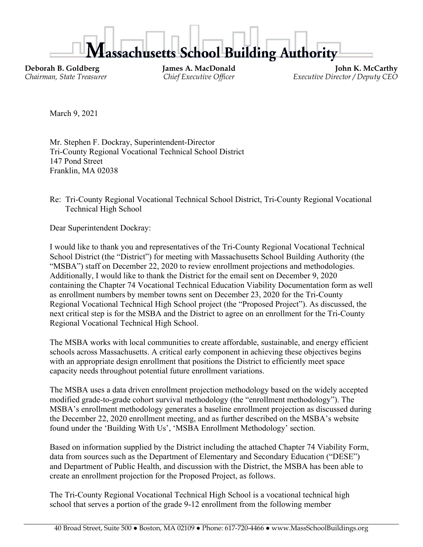ssachusetts School Building Authority

**Deborah B. Goldberg James A. MacDonald John K. McCarthy**<br>Chairman, State Treasurer **State Chairman**, State Treasurer **Chairman**, State Treasurer **Chairman**, State Treasurer *Chief Executive Officer Executive Director / Deputy CEO* 

March 9, 2021

Mr. Stephen F. Dockray, Superintendent-Director Tri-County Regional Vocational Technical School District 147 Pond Street Franklin, MA 02038

Re: Tri-County Regional Vocational Technical School District, Tri-County Regional Vocational Technical High School

Dear Superintendent Dockray:

I would like to thank you and representatives of the Tri-County Regional Vocational Technical School District (the "District") for meeting with Massachusetts School Building Authority (the "MSBA") staff on December 22, 2020 to review enrollment projections and methodologies. Additionally, I would like to thank the District for the email sent on December 9, 2020 containing the Chapter 74 Vocational Technical Education Viability Documentation form as well as enrollment numbers by member towns sent on December 23, 2020 for the Tri-County Regional Vocational Technical High School project (the "Proposed Project"). As discussed, the next critical step is for the MSBA and the District to agree on an enrollment for the Tri-County Regional Vocational Technical High School.

The MSBA works with local communities to create affordable, sustainable, and energy efficient schools across Massachusetts. A critical early component in achieving these objectives begins with an appropriate design enrollment that positions the District to efficiently meet space capacity needs throughout potential future enrollment variations.

The MSBA uses a data driven enrollment projection methodology based on the widely accepted modified grade-to-grade cohort survival methodology (the "enrollment methodology"). The MSBA's enrollment methodology generates a baseline enrollment projection as discussed during the December 22, 2020 enrollment meeting, and as further described on the MSBA's website found under the 'Building With Us', 'MSBA Enrollment Methodology' section.

Based on information supplied by the District including the attached Chapter 74 Viability Form, data from sources such as the Department of Elementary and Secondary Education ("DESE") and Department of Public Health, and discussion with the District, the MSBA has been able to create an enrollment projection for the Proposed Project, as follows.

The Tri-County Regional Vocational Technical High School is a vocational technical high school that serves a portion of the grade 9-12 enrollment from the following member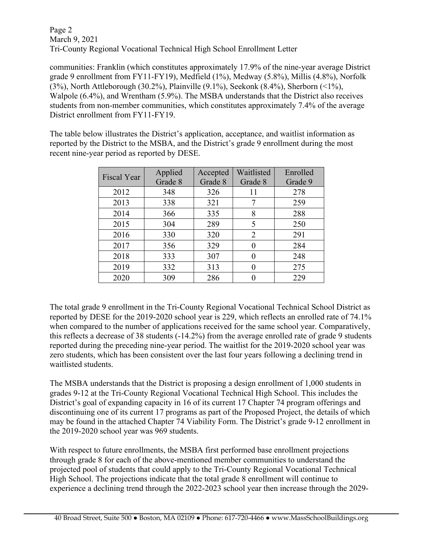Page 2 March 9, 2021 Tri-County Regional Vocational Technical High School Enrollment Letter

communities: Franklin (which constitutes approximately 17.9% of the nine-year average District grade 9 enrollment from FY11-FY19), Medfield (1%), Medway (5.8%), Millis (4.8%), Norfolk (3%), North Attleborough (30.2%), Plainville (9.1%), Seekonk (8.4%), Sherborn (<1%), Walpole (6.4%), and Wrentham (5.9%). The MSBA understands that the District also receives students from non-member communities, which constitutes approximately 7.4% of the average District enrollment from FY11-FY19.

The table below illustrates the District's application, acceptance, and waitlist information as reported by the District to the MSBA, and the District's grade 9 enrollment during the most recent nine-year period as reported by DESE.

| <b>Fiscal Year</b> | Applied | Accepted | Waitlisted | Enrolled |
|--------------------|---------|----------|------------|----------|
|                    | Grade 8 | Grade 8  | Grade 8    | Grade 9  |
| 2012               | 348     | 326      | 11         | 278      |
| 2013               | 338     | 321      | 7          | 259      |
| 2014               | 366     | 335      | 8          | 288      |
| 2015               | 304     | 289      | 5          | 250      |
| 2016               | 330     | 320      | 2          | 291      |
| 2017               | 356     | 329      | 0          | 284      |
| 2018               | 333     | 307      | 0          | 248      |
| 2019               | 332     | 313      |            | 275      |
| 2020               | 309     | 286      |            | 229      |

The total grade 9 enrollment in the Tri-County Regional Vocational Technical School District as reported by DESE for the 2019-2020 school year is 229, which reflects an enrolled rate of 74.1% when compared to the number of applications received for the same school year. Comparatively, this reflects a decrease of 38 students (-14.2%) from the average enrolled rate of grade 9 students reported during the preceding nine-year period. The waitlist for the 2019-2020 school year was zero students, which has been consistent over the last four years following a declining trend in waitlisted students.

The MSBA understands that the District is proposing a design enrollment of 1,000 students in grades 9-12 at the Tri-County Regional Vocational Technical High School. This includes the District's goal of expanding capacity in 16 of its current 17 Chapter 74 program offerings and discontinuing one of its current 17 programs as part of the Proposed Project, the details of which may be found in the attached Chapter 74 Viability Form. The District's grade 9-12 enrollment in the 2019-2020 school year was 969 students.

With respect to future enrollments, the MSBA first performed base enrollment projections through grade 8 for each of the above-mentioned member communities to understand the projected pool of students that could apply to the Tri-County Regional Vocational Technical High School. The projections indicate that the total grade 8 enrollment will continue to experience a declining trend through the 2022-2023 school year then increase through the 2029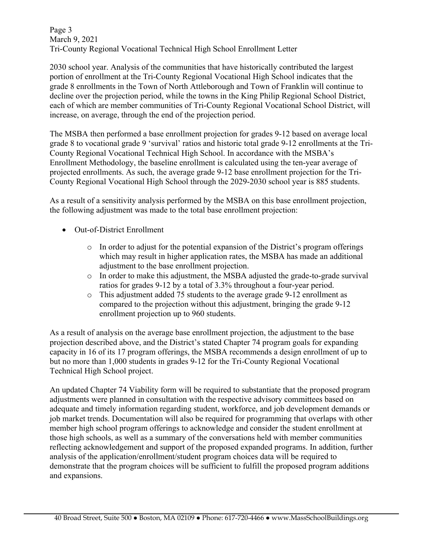Page 3 March 9, 2021 Tri-County Regional Vocational Technical High School Enrollment Letter

2030 school year. Analysis of the communities that have historically contributed the largest portion of enrollment at the Tri-County Regional Vocational High School indicates that the grade 8 enrollments in the Town of North Attleborough and Town of Franklin will continue to decline over the projection period, while the towns in the King Philip Regional School District, each of which are member communities of Tri-County Regional Vocational School District, will increase, on average, through the end of the projection period.

The MSBA then performed a base enrollment projection for grades 9-12 based on average local grade 8 to vocational grade 9 'survival' ratios and historic total grade 9-12 enrollments at the Tri-County Regional Vocational Technical High School. In accordance with the MSBA's Enrollment Methodology, the baseline enrollment is calculated using the ten-year average of projected enrollments. As such, the average grade 9-12 base enrollment projection for the Tri-County Regional Vocational High School through the 2029-2030 school year is 885 students.

As a result of a sensitivity analysis performed by the MSBA on this base enrollment projection, the following adjustment was made to the total base enrollment projection:

- Out-of-District Enrollment
	- o In order to adjust for the potential expansion of the District's program offerings which may result in higher application rates, the MSBA has made an additional adjustment to the base enrollment projection.
	- o In order to make this adjustment, the MSBA adjusted the grade-to-grade survival ratios for grades 9-12 by a total of 3.3% throughout a four-year period.
	- o This adjustment added 75 students to the average grade 9-12 enrollment as compared to the projection without this adjustment, bringing the grade 9-12 enrollment projection up to 960 students.

As a result of analysis on the average base enrollment projection, the adjustment to the base projection described above, and the District's stated Chapter 74 program goals for expanding capacity in 16 of its 17 program offerings, the MSBA recommends a design enrollment of up to but no more than 1,000 students in grades 9-12 for the Tri-County Regional Vocational Technical High School project.

An updated Chapter 74 Viability form will be required to substantiate that the proposed program adjustments were planned in consultation with the respective advisory committees based on adequate and timely information regarding student, workforce, and job development demands or job market trends. Documentation will also be required for programming that overlaps with other member high school program offerings to acknowledge and consider the student enrollment at those high schools, as well as a summary of the conversations held with member communities reflecting acknowledgement and support of the proposed expanded programs. In addition, further analysis of the application/enrollment/student program choices data will be required to demonstrate that the program choices will be sufficient to fulfill the proposed program additions and expansions.